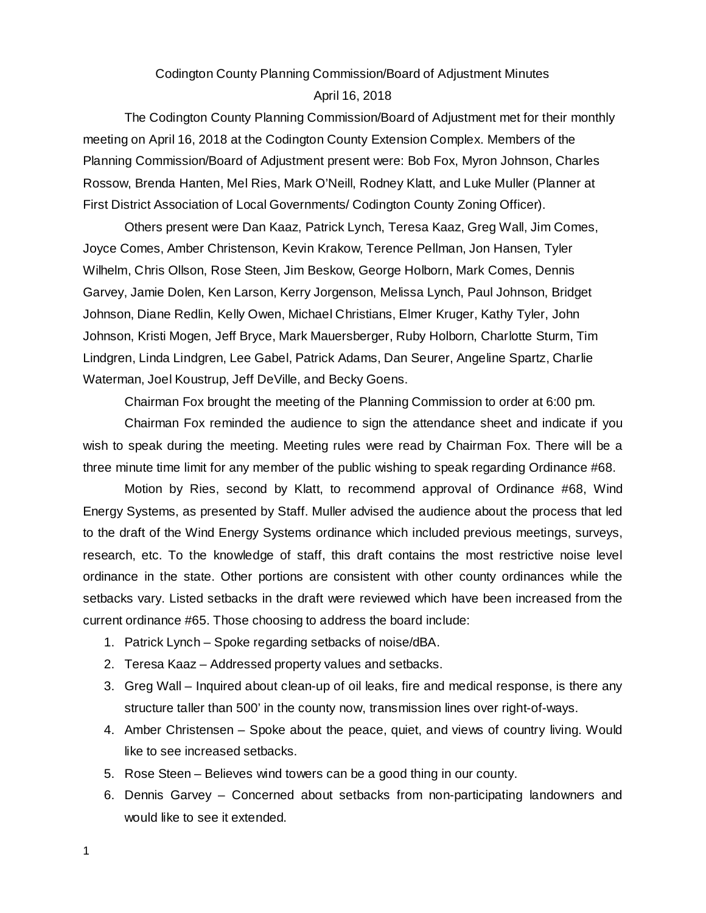# Codington County Planning Commission/Board of Adjustment Minutes April 16, 2018

The Codington County Planning Commission/Board of Adjustment met for their monthly meeting on April 16, 2018 at the Codington County Extension Complex. Members of the Planning Commission/Board of Adjustment present were: Bob Fox, Myron Johnson, Charles Rossow, Brenda Hanten, Mel Ries, Mark O'Neill, Rodney Klatt, and Luke Muller (Planner at First District Association of Local Governments/ Codington County Zoning Officer).

Others present were Dan Kaaz, Patrick Lynch, Teresa Kaaz, Greg Wall, Jim Comes, Joyce Comes, Amber Christenson, Kevin Krakow, Terence Pellman, Jon Hansen, Tyler Wilhelm, Chris Ollson, Rose Steen, Jim Beskow, George Holborn, Mark Comes, Dennis Garvey, Jamie Dolen, Ken Larson, Kerry Jorgenson, Melissa Lynch, Paul Johnson, Bridget Johnson, Diane Redlin, Kelly Owen, Michael Christians, Elmer Kruger, Kathy Tyler, John Johnson, Kristi Mogen, Jeff Bryce, Mark Mauersberger, Ruby Holborn, Charlotte Sturm, Tim Lindgren, Linda Lindgren, Lee Gabel, Patrick Adams, Dan Seurer, Angeline Spartz, Charlie Waterman, Joel Koustrup, Jeff DeVille, and Becky Goens.

Chairman Fox brought the meeting of the Planning Commission to order at 6:00 pm.

Chairman Fox reminded the audience to sign the attendance sheet and indicate if you wish to speak during the meeting. Meeting rules were read by Chairman Fox. There will be a three minute time limit for any member of the public wishing to speak regarding Ordinance #68.

Motion by Ries, second by Klatt, to recommend approval of Ordinance #68, Wind Energy Systems, as presented by Staff. Muller advised the audience about the process that led to the draft of the Wind Energy Systems ordinance which included previous meetings, surveys, research, etc. To the knowledge of staff, this draft contains the most restrictive noise level ordinance in the state. Other portions are consistent with other county ordinances while the setbacks vary. Listed setbacks in the draft were reviewed which have been increased from the current ordinance #65. Those choosing to address the board include:

- 1. Patrick Lynch Spoke regarding setbacks of noise/dBA.
- 2. Teresa Kaaz Addressed property values and setbacks.
- 3. Greg Wall Inquired about clean-up of oil leaks, fire and medical response, is there any structure taller than 500' in the county now, transmission lines over right-of-ways.
- 4. Amber Christensen Spoke about the peace, quiet, and views of country living. Would like to see increased setbacks.
- 5. Rose Steen Believes wind towers can be a good thing in our county.
- 6. Dennis Garvey Concerned about setbacks from non-participating landowners and would like to see it extended.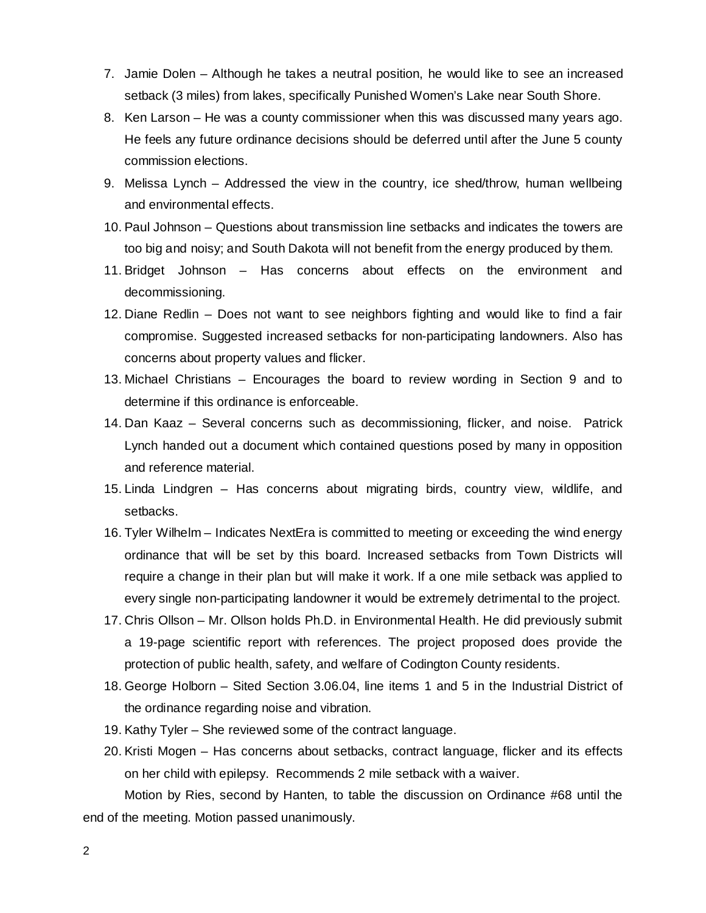- 7. Jamie Dolen Although he takes a neutral position, he would like to see an increased setback (3 miles) from lakes, specifically Punished Women's Lake near South Shore.
- 8. Ken Larson He was a county commissioner when this was discussed many years ago. He feels any future ordinance decisions should be deferred until after the June 5 county commission elections.
- 9. Melissa Lynch Addressed the view in the country, ice shed/throw, human wellbeing and environmental effects.
- 10. Paul Johnson Questions about transmission line setbacks and indicates the towers are too big and noisy; and South Dakota will not benefit from the energy produced by them.
- 11. Bridget Johnson Has concerns about effects on the environment and decommissioning.
- 12. Diane Redlin Does not want to see neighbors fighting and would like to find a fair compromise. Suggested increased setbacks for non-participating landowners. Also has concerns about property values and flicker.
- 13. Michael Christians Encourages the board to review wording in Section 9 and to determine if this ordinance is enforceable.
- 14. Dan Kaaz Several concerns such as decommissioning, flicker, and noise. Patrick Lynch handed out a document which contained questions posed by many in opposition and reference material.
- 15. Linda Lindgren Has concerns about migrating birds, country view, wildlife, and setbacks.
- 16. Tyler Wilhelm Indicates NextEra is committed to meeting or exceeding the wind energy ordinance that will be set by this board. Increased setbacks from Town Districts will require a change in their plan but will make it work. If a one mile setback was applied to every single non-participating landowner it would be extremely detrimental to the project.
- 17. Chris Ollson Mr. Ollson holds Ph.D. in Environmental Health. He did previously submit a 19-page scientific report with references. The project proposed does provide the protection of public health, safety, and welfare of Codington County residents.
- 18. George Holborn Sited Section 3.06.04, line items 1 and 5 in the Industrial District of the ordinance regarding noise and vibration.
- 19. Kathy Tyler She reviewed some of the contract language.
- 20. Kristi Mogen Has concerns about setbacks, contract language, flicker and its effects on her child with epilepsy. Recommends 2 mile setback with a waiver.

Motion by Ries, second by Hanten, to table the discussion on Ordinance #68 until the end of the meeting. Motion passed unanimously.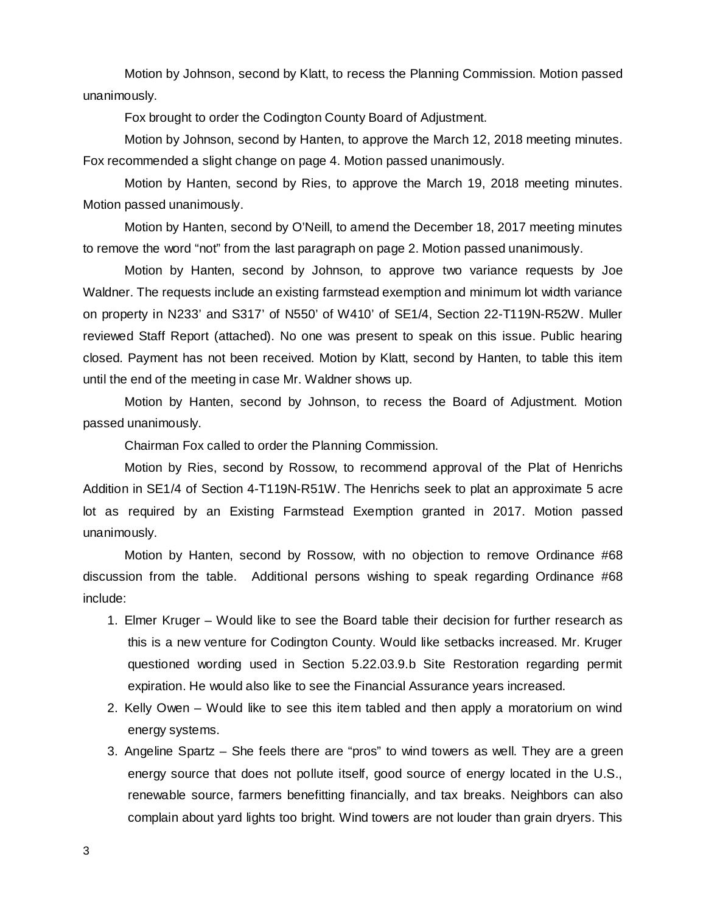Motion by Johnson, second by Klatt, to recess the Planning Commission. Motion passed unanimously.

Fox brought to order the Codington County Board of Adjustment.

Motion by Johnson, second by Hanten, to approve the March 12, 2018 meeting minutes. Fox recommended a slight change on page 4. Motion passed unanimously.

Motion by Hanten, second by Ries, to approve the March 19, 2018 meeting minutes. Motion passed unanimously.

Motion by Hanten, second by O'Neill, to amend the December 18, 2017 meeting minutes to remove the word "not" from the last paragraph on page 2. Motion passed unanimously.

Motion by Hanten, second by Johnson, to approve two variance requests by Joe Waldner. The requests include an existing farmstead exemption and minimum lot width variance on property in N233' and S317' of N550' of W410' of SE1/4, Section 22-T119N-R52W. Muller reviewed Staff Report (attached). No one was present to speak on this issue. Public hearing closed. Payment has not been received. Motion by Klatt, second by Hanten, to table this item until the end of the meeting in case Mr. Waldner shows up.

Motion by Hanten, second by Johnson, to recess the Board of Adjustment. Motion passed unanimously.

Chairman Fox called to order the Planning Commission.

Motion by Ries, second by Rossow, to recommend approval of the Plat of Henrichs Addition in SE1/4 of Section 4-T119N-R51W. The Henrichs seek to plat an approximate 5 acre lot as required by an Existing Farmstead Exemption granted in 2017. Motion passed unanimously.

Motion by Hanten, second by Rossow, with no objection to remove Ordinance #68 discussion from the table. Additional persons wishing to speak regarding Ordinance #68 include:

- 1. Elmer Kruger Would like to see the Board table their decision for further research as this is a new venture for Codington County. Would like setbacks increased. Mr. Kruger questioned wording used in Section 5.22.03.9.b Site Restoration regarding permit expiration. He would also like to see the Financial Assurance years increased.
- 2. Kelly Owen Would like to see this item tabled and then apply a moratorium on wind energy systems.
- 3. Angeline Spartz She feels there are "pros" to wind towers as well. They are a green energy source that does not pollute itself, good source of energy located in the U.S., renewable source, farmers benefitting financially, and tax breaks. Neighbors can also complain about yard lights too bright. Wind towers are not louder than grain dryers. This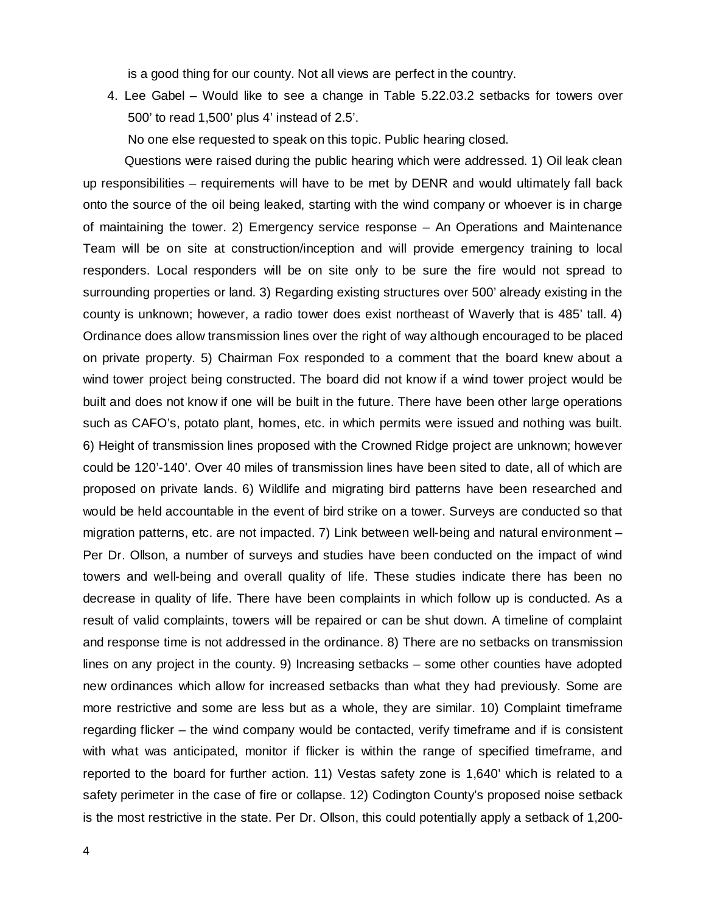is a good thing for our county. Not all views are perfect in the country.

4. Lee Gabel – Would like to see a change in Table 5.22.03.2 setbacks for towers over 500' to read 1,500' plus 4' instead of 2.5'.

No one else requested to speak on this topic. Public hearing closed.

Questions were raised during the public hearing which were addressed. 1) Oil leak clean up responsibilities – requirements will have to be met by DENR and would ultimately fall back onto the source of the oil being leaked, starting with the wind company or whoever is in charge of maintaining the tower. 2) Emergency service response – An Operations and Maintenance Team will be on site at construction/inception and will provide emergency training to local responders. Local responders will be on site only to be sure the fire would not spread to surrounding properties or land. 3) Regarding existing structures over 500' already existing in the county is unknown; however, a radio tower does exist northeast of Waverly that is 485' tall. 4) Ordinance does allow transmission lines over the right of way although encouraged to be placed on private property. 5) Chairman Fox responded to a comment that the board knew about a wind tower project being constructed. The board did not know if a wind tower project would be built and does not know if one will be built in the future. There have been other large operations such as CAFO's, potato plant, homes, etc. in which permits were issued and nothing was built. 6) Height of transmission lines proposed with the Crowned Ridge project are unknown; however could be 120'-140'. Over 40 miles of transmission lines have been sited to date, all of which are proposed on private lands. 6) Wildlife and migrating bird patterns have been researched and would be held accountable in the event of bird strike on a tower. Surveys are conducted so that migration patterns, etc. are not impacted. 7) Link between well-being and natural environment – Per Dr. Ollson, a number of surveys and studies have been conducted on the impact of wind towers and well-being and overall quality of life. These studies indicate there has been no decrease in quality of life. There have been complaints in which follow up is conducted. As a result of valid complaints, towers will be repaired or can be shut down. A timeline of complaint and response time is not addressed in the ordinance. 8) There are no setbacks on transmission lines on any project in the county. 9) Increasing setbacks – some other counties have adopted new ordinances which allow for increased setbacks than what they had previously. Some are more restrictive and some are less but as a whole, they are similar. 10) Complaint timeframe regarding flicker – the wind company would be contacted, verify timeframe and if is consistent with what was anticipated, monitor if flicker is within the range of specified timeframe, and reported to the board for further action. 11) Vestas safety zone is 1,640' which is related to a safety perimeter in the case of fire or collapse. 12) Codington County's proposed noise setback is the most restrictive in the state. Per Dr. Ollson, this could potentially apply a setback of 1,200-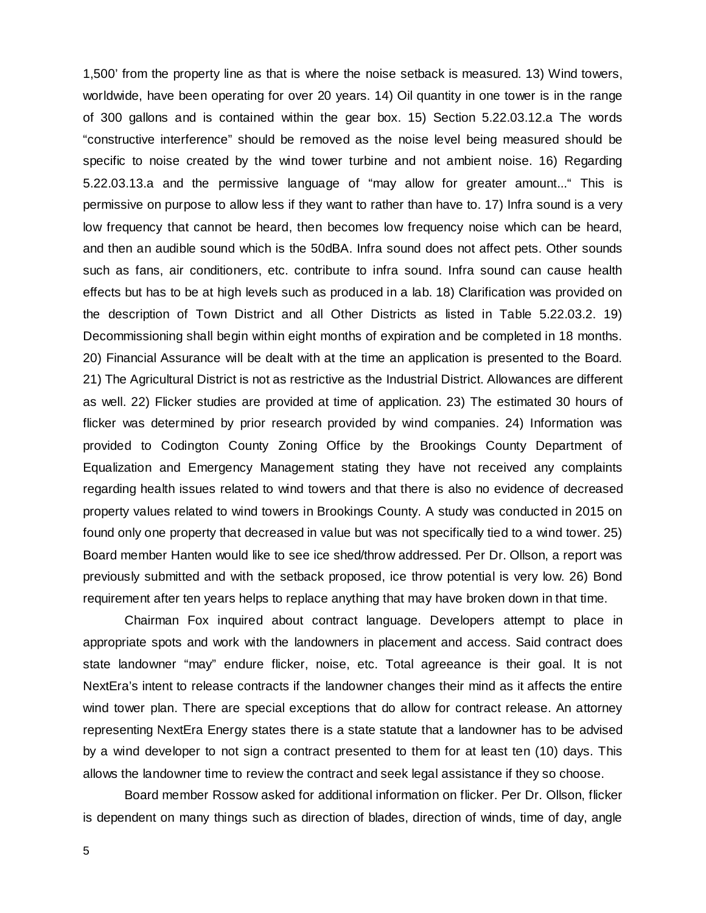1,500' from the property line as that is where the noise setback is measured. 13) Wind towers, worldwide, have been operating for over 20 years. 14) Oil quantity in one tower is in the range of 300 gallons and is contained within the gear box. 15) Section 5.22.03.12.a The words "constructive interference" should be removed as the noise level being measured should be specific to noise created by the wind tower turbine and not ambient noise. 16) Regarding 5.22.03.13.a and the permissive language of "may allow for greater amount..." This is permissive on purpose to allow less if they want to rather than have to. 17) Infra sound is a very low frequency that cannot be heard, then becomes low frequency noise which can be heard, and then an audible sound which is the 50dBA. Infra sound does not affect pets. Other sounds such as fans, air conditioners, etc. contribute to infra sound. Infra sound can cause health effects but has to be at high levels such as produced in a lab. 18) Clarification was provided on the description of Town District and all Other Districts as listed in Table 5.22.03.2. 19) Decommissioning shall begin within eight months of expiration and be completed in 18 months. 20) Financial Assurance will be dealt with at the time an application is presented to the Board. 21) The Agricultural District is not as restrictive as the Industrial District. Allowances are different as well. 22) Flicker studies are provided at time of application. 23) The estimated 30 hours of flicker was determined by prior research provided by wind companies. 24) Information was provided to Codington County Zoning Office by the Brookings County Department of Equalization and Emergency Management stating they have not received any complaints regarding health issues related to wind towers and that there is also no evidence of decreased property values related to wind towers in Brookings County. A study was conducted in 2015 on found only one property that decreased in value but was not specifically tied to a wind tower. 25) Board member Hanten would like to see ice shed/throw addressed. Per Dr. Ollson, a report was previously submitted and with the setback proposed, ice throw potential is very low. 26) Bond requirement after ten years helps to replace anything that may have broken down in that time.

Chairman Fox inquired about contract language. Developers attempt to place in appropriate spots and work with the landowners in placement and access. Said contract does state landowner "may" endure flicker, noise, etc. Total agreeance is their goal. It is not NextEra's intent to release contracts if the landowner changes their mind as it affects the entire wind tower plan. There are special exceptions that do allow for contract release. An attorney representing NextEra Energy states there is a state statute that a landowner has to be advised by a wind developer to not sign a contract presented to them for at least ten (10) days. This allows the landowner time to review the contract and seek legal assistance if they so choose.

Board member Rossow asked for additional information on flicker. Per Dr. Ollson, flicker is dependent on many things such as direction of blades, direction of winds, time of day, angle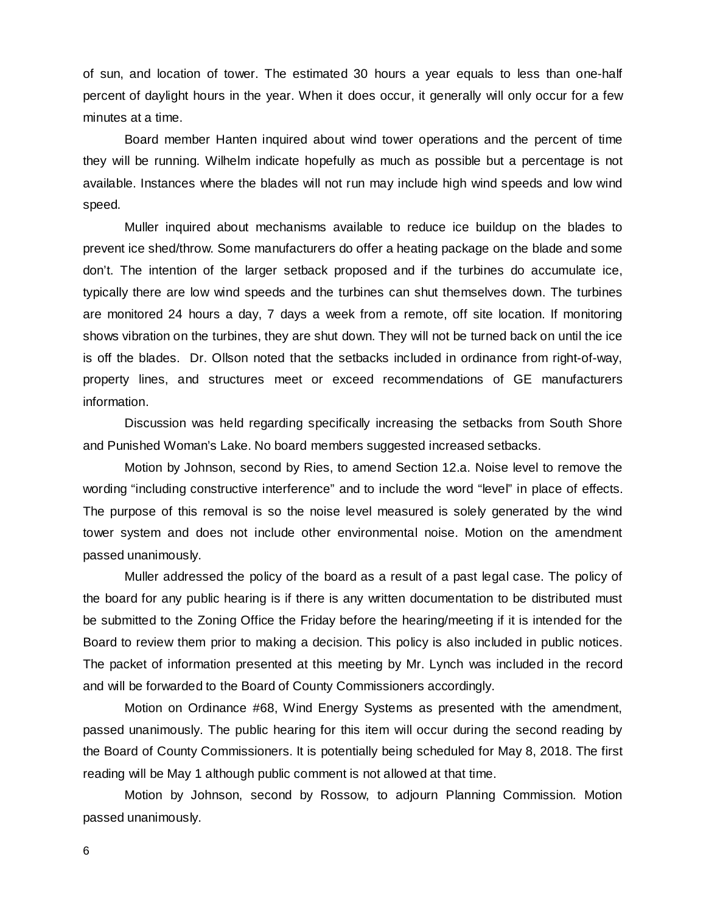of sun, and location of tower. The estimated 30 hours a year equals to less than one-half percent of daylight hours in the year. When it does occur, it generally will only occur for a few minutes at a time.

Board member Hanten inquired about wind tower operations and the percent of time they will be running. Wilhelm indicate hopefully as much as possible but a percentage is not available. Instances where the blades will not run may include high wind speeds and low wind speed.

Muller inquired about mechanisms available to reduce ice buildup on the blades to prevent ice shed/throw. Some manufacturers do offer a heating package on the blade and some don't. The intention of the larger setback proposed and if the turbines do accumulate ice, typically there are low wind speeds and the turbines can shut themselves down. The turbines are monitored 24 hours a day, 7 days a week from a remote, off site location. If monitoring shows vibration on the turbines, they are shut down. They will not be turned back on until the ice is off the blades. Dr. Ollson noted that the setbacks included in ordinance from right-of-way, property lines, and structures meet or exceed recommendations of GE manufacturers information.

Discussion was held regarding specifically increasing the setbacks from South Shore and Punished Woman's Lake. No board members suggested increased setbacks.

Motion by Johnson, second by Ries, to amend Section 12.a. Noise level to remove the wording "including constructive interference" and to include the word "level" in place of effects. The purpose of this removal is so the noise level measured is solely generated by the wind tower system and does not include other environmental noise. Motion on the amendment passed unanimously.

Muller addressed the policy of the board as a result of a past legal case. The policy of the board for any public hearing is if there is any written documentation to be distributed must be submitted to the Zoning Office the Friday before the hearing/meeting if it is intended for the Board to review them prior to making a decision. This policy is also included in public notices. The packet of information presented at this meeting by Mr. Lynch was included in the record and will be forwarded to the Board of County Commissioners accordingly.

Motion on Ordinance #68, Wind Energy Systems as presented with the amendment, passed unanimously. The public hearing for this item will occur during the second reading by the Board of County Commissioners. It is potentially being scheduled for May 8, 2018. The first reading will be May 1 although public comment is not allowed at that time.

Motion by Johnson, second by Rossow, to adjourn Planning Commission. Motion passed unanimously.

6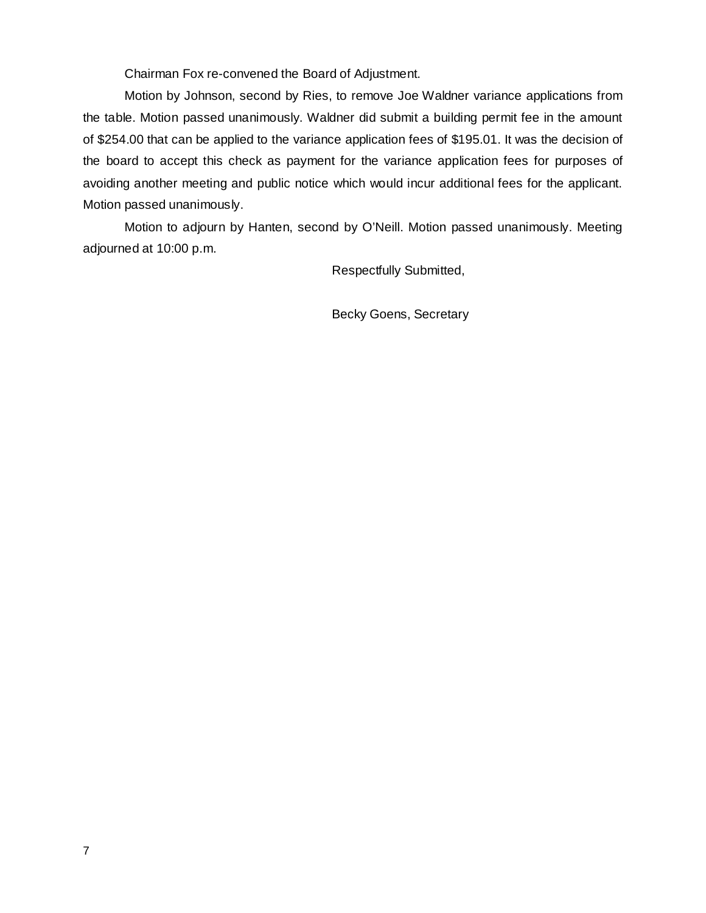Chairman Fox re-convened the Board of Adjustment.

Motion by Johnson, second by Ries, to remove Joe Waldner variance applications from the table. Motion passed unanimously. Waldner did submit a building permit fee in the amount of \$254.00 that can be applied to the variance application fees of \$195.01. It was the decision of the board to accept this check as payment for the variance application fees for purposes of avoiding another meeting and public notice which would incur additional fees for the applicant. Motion passed unanimously.

Motion to adjourn by Hanten, second by O'Neill. Motion passed unanimously. Meeting adjourned at 10:00 p.m.

Respectfully Submitted,

Becky Goens, Secretary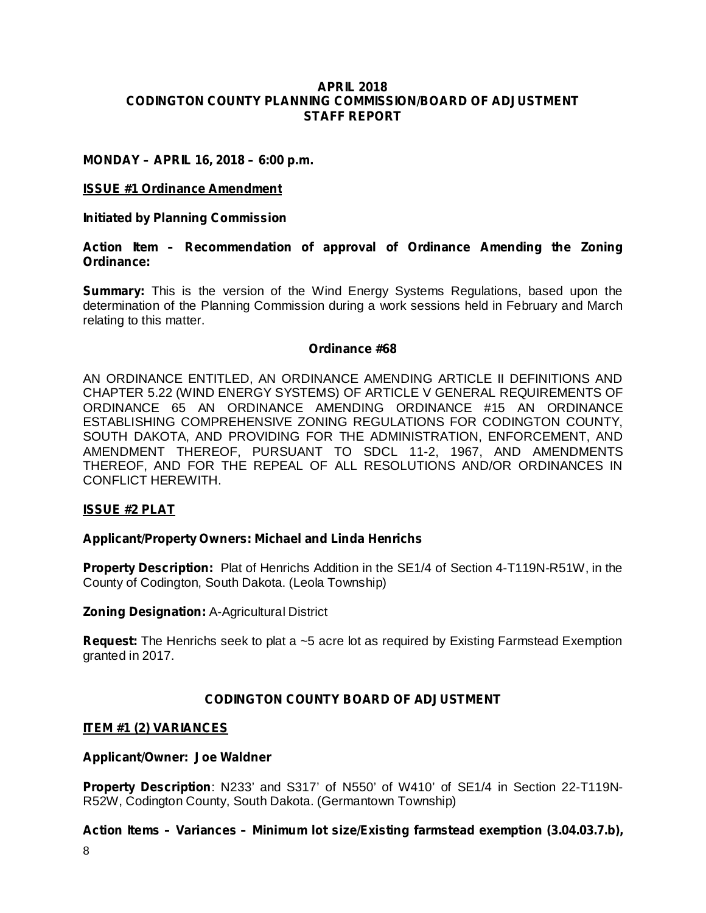#### **APRIL 2018 CODINGTON COUNTY PLANNING COMMISSION/BOARD OF ADJUSTMENT STAFF REPORT**

#### **MONDAY – APRIL 16, 2018 – 6:00 p.m.**

#### **ISSUE #1 Ordinance Amendment**

**Initiated by Planning Commission**

#### **Action Item – Recommendation of approval of Ordinance Amending the Zoning Ordinance:**

**Summary:** This is the version of the Wind Energy Systems Regulations, based upon the determination of the Planning Commission during a work sessions held in February and March relating to this matter.

#### **Ordinance #68**

AN ORDINANCE ENTITLED, AN ORDINANCE AMENDING ARTICLE II DEFINITIONS AND CHAPTER 5.22 (WIND ENERGY SYSTEMS) OF ARTICLE V GENERAL REQUIREMENTS OF ORDINANCE 65 AN ORDINANCE AMENDING ORDINANCE #15 AN ORDINANCE ESTABLISHING COMPREHENSIVE ZONING REGULATIONS FOR CODINGTON COUNTY, SOUTH DAKOTA, AND PROVIDING FOR THE ADMINISTRATION, ENFORCEMENT, AND AMENDMENT THEREOF, PURSUANT TO SDCL 11-2, 1967, AND AMENDMENTS THEREOF, AND FOR THE REPEAL OF ALL RESOLUTIONS AND/OR ORDINANCES IN CONFLICT HEREWITH.

#### **ISSUE #2 PLAT**

## **Applicant/Property Owners: Michael and Linda Henrichs**

Property Description: Plat of Henrichs Addition in the SE1/4 of Section 4-T119N-R51W, in the County of Codington, South Dakota. (Leola Township)

#### **Zoning Designation: A-Agricultural District**

Request: The Henrichs seek to plat a ~5 acre lot as required by Existing Farmstead Exemption granted in 2017.

# **CODINGTON COUNTY BOARD OF ADJUSTMENT**

#### **ITEM #1 (2) VARIANCES**

#### **Applicant/Owner: Joe Waldner**

Property Description: N233' and S317' of N550' of W410' of SE1/4 in Section 22-T119N-R52W, Codington County, South Dakota. (Germantown Township)

# **Action Items – Variances – Minimum lot size/Existing farmstead exemption (3.04.03.7.b),**